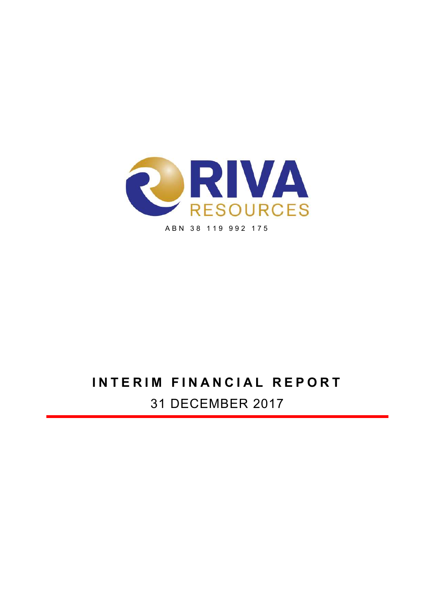

# INTERIM FINANCIAL REPORT

31 DECEMBER 2017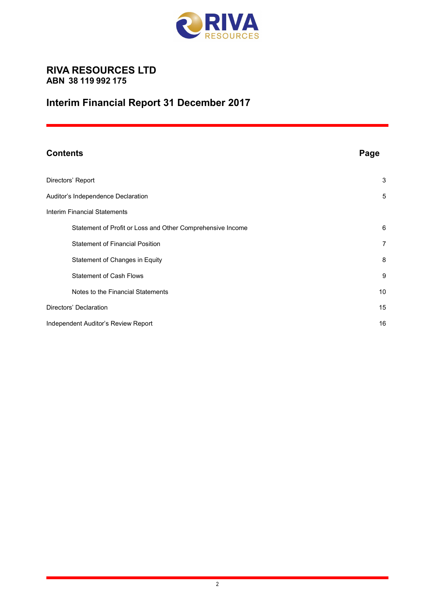

# RIVA RESOURCES LTD ABN 38 119 992 175

# Interim Financial Report 31 December 2017

| <b>Contents</b>                                            | Page           |
|------------------------------------------------------------|----------------|
| Directors' Report                                          | 3              |
| Auditor's Independence Declaration                         | 5              |
| <b>Interim Financial Statements</b>                        |                |
| Statement of Profit or Loss and Other Comprehensive Income | 6              |
| <b>Statement of Financial Position</b>                     | $\overline{7}$ |
| Statement of Changes in Equity                             | 8              |
| <b>Statement of Cash Flows</b>                             | 9              |
| Notes to the Financial Statements                          | 10             |
| Directors' Declaration                                     | 15             |
| Independent Auditor's Review Report                        | 16             |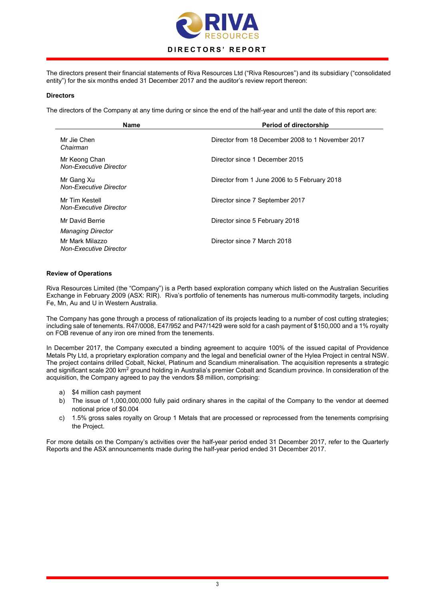

The directors present their financial statements of Riva Resources Ltd ("Riva Resources") and its subsidiary ("consolidated entity") for the six months ended 31 December 2017 and the auditor's review report thereon:

#### **Directors**

The directors of the Company at any time during or since the end of the half-year and until the date of this report are:

| <b>Name</b>                                      | <b>Period of directorship</b>                     |
|--------------------------------------------------|---------------------------------------------------|
| Mr Jie Chen<br>Chairman                          | Director from 18 December 2008 to 1 November 2017 |
| Mr Keong Chan<br><b>Non-Executive Director</b>   | Director since 1 December 2015                    |
| Mr Gang Xu<br><b>Non-Executive Director</b>      | Director from 1 June 2006 to 5 February 2018      |
| Mr Tim Kestell<br><b>Non-Executive Director</b>  | Director since 7 September 2017                   |
| Mr David Berrie<br><b>Managing Director</b>      | Director since 5 February 2018                    |
| Mr Mark Milazzo<br><b>Non-Executive Director</b> | Director since 7 March 2018                       |

#### Review of Operations

Riva Resources Limited (the "Company") is a Perth based exploration company which listed on the Australian Securities Exchange in February 2009 (ASX: RIR). Riva's portfolio of tenements has numerous multi-commodity targets, including Fe, Mn, Au and U in Western Australia.

The Company has gone through a process of rationalization of its projects leading to a number of cost cutting strategies; including sale of tenements. R47/0008, E47/952 and P47/1429 were sold for a cash payment of \$150,000 and a 1% royalty on FOB revenue of any iron ore mined from the tenements.

In December 2017, the Company executed a binding agreement to acquire 100% of the issued capital of Providence Metals Pty Ltd, a proprietary exploration company and the legal and beneficial owner of the Hylea Project in central NSW. The project contains drilled Cobalt, Nickel, Platinum and Scandium mineralisation. The acquisition represents a strategic and significant scale 200 km<sup>2</sup> ground holding in Australia's premier Cobalt and Scandium province. In consideration of the acquisition, the Company agreed to pay the vendors \$8 million, comprising:

- a) \$4 million cash payment
- b) The issue of 1,000,000,000 fully paid ordinary shares in the capital of the Company to the vendor at deemed notional price of \$0.004
- c) 1.5% gross sales royalty on Group 1 Metals that are processed or reprocessed from the tenements comprising the Project.

For more details on the Company's activities over the half-year period ended 31 December 2017, refer to the Quarterly Reports and the ASX announcements made during the half-year period ended 31 December 2017.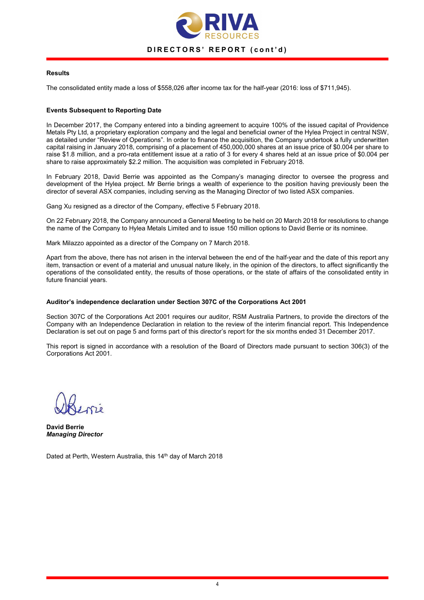

### Results

The consolidated entity made a loss of \$558,026 after income tax for the half-year (2016: loss of \$711,945).

### Events Subsequent to Reporting Date

In December 2017, the Company entered into a binding agreement to acquire 100% of the issued capital of Providence Metals Pty Ltd, a proprietary exploration company and the legal and beneficial owner of the Hylea Project in central NSW, as detailed under "Review of Operations". In order to finance the acquisition, the Company undertook a fully underwritten capital raising in January 2018, comprising of a placement of 450,000,000 shares at an issue price of \$0.004 per share to raise \$1.8 million, and a pro-rata entitlement issue at a ratio of 3 for every 4 shares held at an issue price of \$0.004 per share to raise approximately \$2.2 million. The acquisition was completed in February 2018.

In February 2018, David Berrie was appointed as the Company's managing director to oversee the progress and development of the Hylea project. Mr Berrie brings a wealth of experience to the position having previously been the director of several ASX companies, including serving as the Managing Director of two listed ASX companies.

Gang Xu resigned as a director of the Company, effective 5 February 2018.

On 22 February 2018, the Company announced a General Meeting to be held on 20 March 2018 for resolutions to change the name of the Company to Hylea Metals Limited and to issue 150 million options to David Berrie or its nominee.

Mark Milazzo appointed as a director of the Company on 7 March 2018.

Apart from the above, there has not arisen in the interval between the end of the half-year and the date of this report any item, transaction or event of a material and unusual nature likely, in the opinion of the directors, to affect significantly the operations of the consolidated entity, the results of those operations, or the state of affairs of the consolidated entity in future financial years.

#### Auditor's independence declaration under Section 307C of the Corporations Act 2001

Section 307C of the Corporations Act 2001 requires our auditor, RSM Australia Partners, to provide the directors of the Company with an Independence Declaration in relation to the review of the interim financial report. This Independence Declaration is set out on page 5 and forms part of this director's report for the six months ended 31 December 2017.

This report is signed in accordance with a resolution of the Board of Directors made pursuant to section 306(3) of the Corporations Act 2001.

David Berrie Managing Director

Dated at Perth, Western Australia, this 14<sup>th</sup> day of March 2018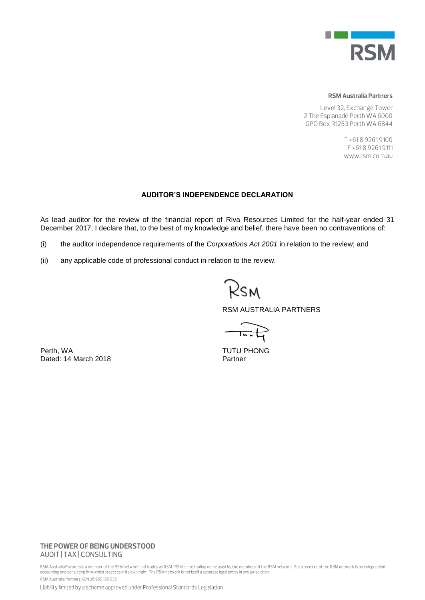

#### **RSM Australia Partners**

Level 32, Exchange Tower 2 The Esplanade Perth WA 6000 GPO Box R1253 Perth WA 6844

> T+61892619100 F+61892619111 www.rsm.com.au

## **AUDITOR'S INDEPENDENCE DECLARATION**

As lead auditor for the review of the financial report of Riva Resources Limited for the half-year ended 31 December 2017, I declare that, to the best of my knowledge and belief, there have been no contraventions of:

- (i) the auditor independence requirements of the *Corporations Act 2001* in relation to the review; and
- (ii) any applicable code of professional conduct in relation to the review.

Rsm

RSM AUSTRALIA PARTNERS

 $\overrightarrow{1}$ 

Perth, WA TUTU PHONG Dated: 14 March 2018 **Partner** 

# THE POWER OF BEING UNDERSTOOD AUDIT | TAX | CONSULTING

RSM Australia Partnersis a member of the RSM network and trades as RSM. RSM is the trading name used by the members of the RSM network. Each member of the RSM network is an independent<br>accounting and consulting firm which RSM Australia Partners ABN 36 965 185 036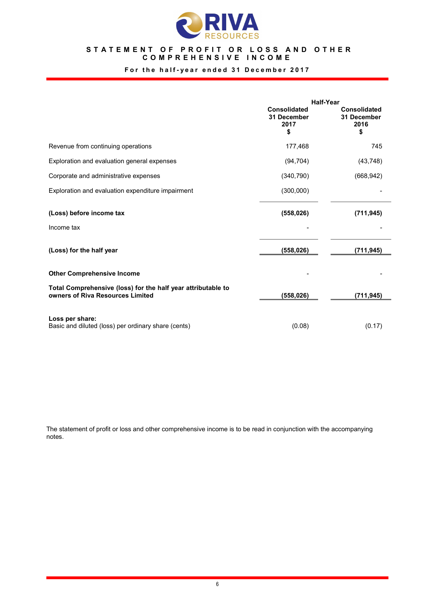

# STATEMENT OF PROFIT OR LOSS AND OTHER COMPREHENSIVE INCOME

# For the half-year ended 31 December 2017

|                                                                                                  | <b>Half-Year</b>                          |                                                  |  |
|--------------------------------------------------------------------------------------------------|-------------------------------------------|--------------------------------------------------|--|
|                                                                                                  | Consolidated<br>31 December<br>2017<br>\$ | <b>Consolidated</b><br>31 December<br>2016<br>\$ |  |
| Revenue from continuing operations                                                               | 177,468                                   | 745                                              |  |
| Exploration and evaluation general expenses                                                      | (94, 704)                                 | (43, 748)                                        |  |
| Corporate and administrative expenses                                                            | (340, 790)                                | (668, 942)                                       |  |
| Exploration and evaluation expenditure impairment                                                | (300,000)                                 |                                                  |  |
| (Loss) before income tax                                                                         | (558, 026)                                | (711, 945)                                       |  |
| Income tax                                                                                       |                                           |                                                  |  |
| (Loss) for the half year                                                                         | (558, 026)                                | (711, 945)                                       |  |
| <b>Other Comprehensive Income</b>                                                                |                                           |                                                  |  |
| Total Comprehensive (loss) for the half year attributable to<br>owners of Riva Resources Limited | (558,026)                                 | (711, 945)                                       |  |
| Loss per share:<br>Basic and diluted (loss) per ordinary share (cents)                           | (0.08)                                    | (0.17)                                           |  |

The statement of profit or loss and other comprehensive income is to be read in conjunction with the accompanying notes.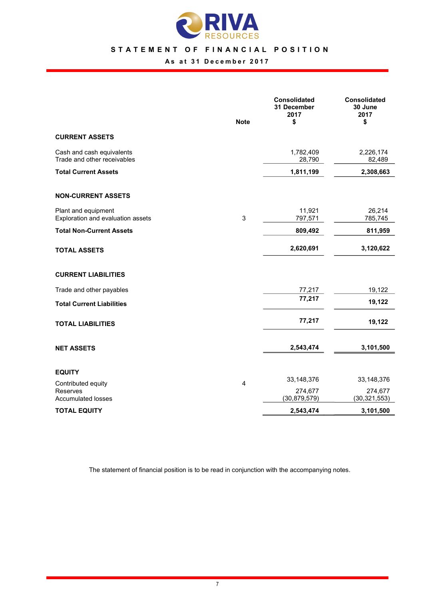

# STATEMENT OF FINANCIAL POSITION

# As at 31 December 2017

|                                                          | <b>Note</b>    | Consolidated<br>31 December<br>2017<br>\$ | Consolidated<br>30 June<br>2017<br>\$ |
|----------------------------------------------------------|----------------|-------------------------------------------|---------------------------------------|
| <b>CURRENT ASSETS</b>                                    |                |                                           |                                       |
| Cash and cash equivalents<br>Trade and other receivables |                | 1,782,409<br>28,790                       | 2,226,174<br>82,489                   |
| <b>Total Current Assets</b>                              |                | 1,811,199                                 | 2,308,663                             |
| <b>NON-CURRENT ASSETS</b>                                |                |                                           |                                       |
| Plant and equipment<br>Exploration and evaluation assets | $\sqrt{3}$     | 11,921<br>797,571                         | 26,214<br>785,745                     |
| <b>Total Non-Current Assets</b>                          |                | 809,492                                   | 811,959                               |
| <b>TOTAL ASSETS</b>                                      |                | 2,620,691                                 | 3,120,622                             |
| <b>CURRENT LIABILITIES</b>                               |                |                                           |                                       |
| Trade and other payables                                 |                | 77,217                                    | 19,122                                |
| <b>Total Current Liabilities</b>                         |                | 77,217                                    | 19,122                                |
| <b>TOTAL LIABILITIES</b>                                 |                | 77,217                                    | 19,122                                |
| <b>NET ASSETS</b>                                        |                | 2,543,474                                 | 3,101,500                             |
| <b>EQUITY</b>                                            |                |                                           |                                       |
| Contributed equity                                       | $\overline{4}$ | 33, 148, 376                              | 33,148,376                            |
| Reserves<br><b>Accumulated losses</b>                    |                | 274,677<br>(30, 879, 579)                 | 274,677<br>(30, 321, 553)             |
| <b>TOTAL EQUITY</b>                                      |                | 2,543,474                                 | 3,101,500                             |

The statement of financial position is to be read in conjunction with the accompanying notes.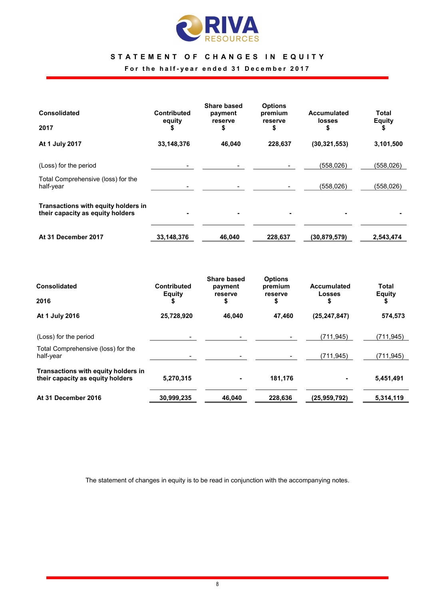

# STATEMENT OF CHANGES IN EQUITY

For the half-year ended 31 December 2017

| <b>Consolidated</b>                                                     | <b>Contributed</b><br>equity | <b>Share based</b><br>payment<br>reserve | <b>Options</b><br>premium<br>reserve | <b>Accumulated</b><br><b>losses</b> | Total<br><b>Equity</b> |
|-------------------------------------------------------------------------|------------------------------|------------------------------------------|--------------------------------------|-------------------------------------|------------------------|
| 2017                                                                    |                              | \$                                       | \$                                   | \$                                  |                        |
| At 1 July 2017                                                          | 33,148,376                   | 46,040                                   | 228,637                              | (30, 321, 553)                      | 3,101,500              |
| (Loss) for the period                                                   |                              |                                          |                                      | (558, 026)                          | (558, 026)             |
| Total Comprehensive (loss) for the<br>half-year                         |                              |                                          |                                      | (558, 026)                          | (558, 026)             |
| Transactions with equity holders in<br>their capacity as equity holders | ۰                            |                                          |                                      | ٠                                   |                        |
| At 31 December 2017                                                     | 33,148,376                   | 46,040                                   | 228,637                              | (30, 879, 579)                      | 2,543,474              |

| <b>Consolidated</b>                                                     | <b>Contributed</b><br><b>Equity</b> | <b>Share based</b><br>payment<br>reserve | <b>Options</b><br>premium<br>reserve | <b>Accumulated</b><br>Losses | Total<br><b>Equity</b> |
|-------------------------------------------------------------------------|-------------------------------------|------------------------------------------|--------------------------------------|------------------------------|------------------------|
| 2016                                                                    |                                     | \$                                       | \$                                   | S                            | S                      |
| At 1 July 2016                                                          | 25,728,920                          | 46,040                                   | 47.460                               | (25, 247, 847)               | 574,573                |
| (Loss) for the period                                                   |                                     |                                          |                                      | (711, 945)                   | (711,945)              |
| Total Comprehensive (loss) for the<br>half-year                         |                                     |                                          |                                      | (711, 945)                   | (711,945)              |
| Transactions with equity holders in<br>their capacity as equity holders | 5,270,315                           |                                          | 181,176                              |                              | 5,451,491              |
| At 31 December 2016                                                     | 30,999,235                          | 46,040                                   | 228,636                              | (25, 959, 792)               | 5,314,119              |

The statement of changes in equity is to be read in conjunction with the accompanying notes.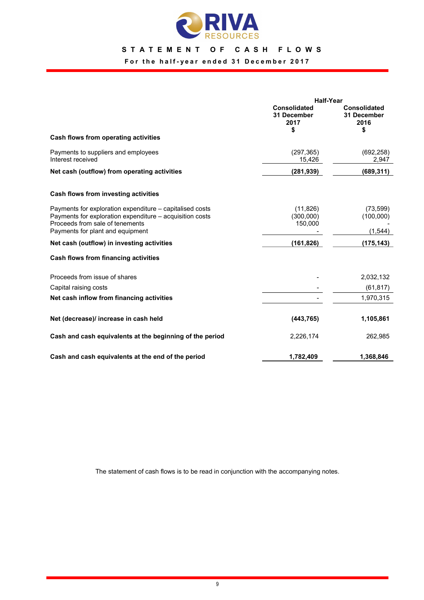

# STATEMENT OF CASH FLOWS

For the half-year ended 31 December 2017

|                                                                                                                                                                                             | <b>Half-Year</b>                                 |                                                  |  |
|---------------------------------------------------------------------------------------------------------------------------------------------------------------------------------------------|--------------------------------------------------|--------------------------------------------------|--|
|                                                                                                                                                                                             | <b>Consolidated</b><br>31 December<br>2017<br>\$ | <b>Consolidated</b><br>31 December<br>2016<br>\$ |  |
| Cash flows from operating activities                                                                                                                                                        |                                                  |                                                  |  |
| Payments to suppliers and employees<br>Interest received                                                                                                                                    | (297, 365)<br>15,426                             | (692, 258)<br>2,947                              |  |
| Net cash (outflow) from operating activities                                                                                                                                                | (281, 939)                                       | (689, 311)                                       |  |
| Cash flows from investing activities                                                                                                                                                        |                                                  |                                                  |  |
| Payments for exploration expenditure – capitalised costs<br>Payments for exploration expenditure - acquisition costs<br>Proceeds from sale of tenements<br>Payments for plant and equipment | (11, 826)<br>(300,000)<br>150,000                | (73, 599)<br>(100,000)<br>(1,544)                |  |
| Net cash (outflow) in investing activities                                                                                                                                                  | (161, 826)                                       | (175,143)                                        |  |
| Cash flows from financing activities                                                                                                                                                        |                                                  |                                                  |  |
| Proceeds from issue of shares                                                                                                                                                               |                                                  | 2,032,132                                        |  |
| Capital raising costs                                                                                                                                                                       |                                                  | (61, 817)                                        |  |
| Net cash inflow from financing activities                                                                                                                                                   |                                                  | 1,970,315                                        |  |
| Net (decrease)/ increase in cash held                                                                                                                                                       | (443, 765)                                       | 1,105,861                                        |  |
| Cash and cash equivalents at the beginning of the period                                                                                                                                    | 2,226,174                                        | 262,985                                          |  |
| Cash and cash equivalents at the end of the period                                                                                                                                          | 1,782,409                                        | 1,368,846                                        |  |

The statement of cash flows is to be read in conjunction with the accompanying notes.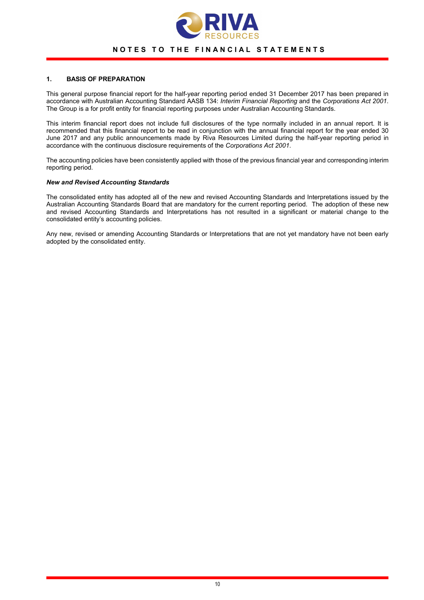

# NOTES TO THE FINANCIAL STATEMENTS

#### 1. BASIS OF PREPARATION

This general purpose financial report for the half-year reporting period ended 31 December 2017 has been prepared in accordance with Australian Accounting Standard AASB 134: Interim Financial Reporting and the Corporations Act 2001. The Group is a for profit entity for financial reporting purposes under Australian Accounting Standards.

This interim financial report does not include full disclosures of the type normally included in an annual report. It is recommended that this financial report to be read in conjunction with the annual financial report for the year ended 30 June 2017 and any public announcements made by Riva Resources Limited during the half-year reporting period in accordance with the continuous disclosure requirements of the Corporations Act 2001.

The accounting policies have been consistently applied with those of the previous financial year and corresponding interim reporting period.

#### New and Revised Accounting Standards

The consolidated entity has adopted all of the new and revised Accounting Standards and Interpretations issued by the Australian Accounting Standards Board that are mandatory for the current reporting period. The adoption of these new and revised Accounting Standards and Interpretations has not resulted in a significant or material change to the consolidated entity's accounting policies.

Any new, revised or amending Accounting Standards or Interpretations that are not yet mandatory have not been early adopted by the consolidated entity.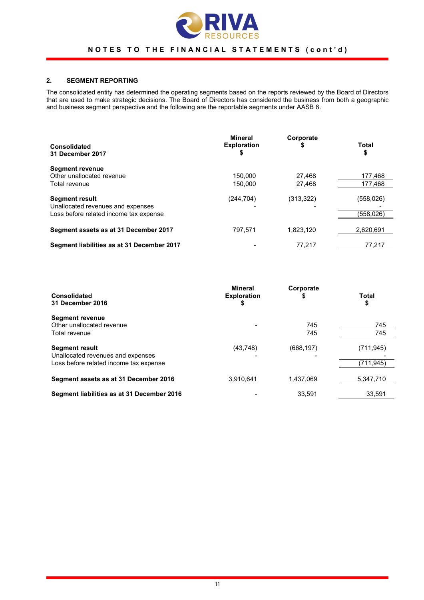

# 2. SEGMENT REPORTING

The consolidated entity has determined the operating segments based on the reports reviewed by the Board of Directors that are used to make strategic decisions. The Board of Directors has considered the business from both a geographic and business segment perspective and the following are the reportable segments under AASB 8.

| <b>Consolidated</b><br>31 December 2017                                                              | <b>Mineral</b><br><b>Exploration</b><br>\$ | Corporate<br>\$  | Total<br>\$             |
|------------------------------------------------------------------------------------------------------|--------------------------------------------|------------------|-------------------------|
| <b>Segment revenue</b><br>Other unallocated revenue<br>Total revenue                                 | 150,000<br>150.000                         | 27.468<br>27.468 | 177,468<br>177,468      |
| <b>Segment result</b><br>Unallocated revenues and expenses<br>Loss before related income tax expense | (244,704)                                  | (313, 322)       | (558, 026)<br>(558,026) |
| Segment assets as at 31 December 2017                                                                | 797,571                                    | 1,823,120        | 2,620,691               |
| Segment liabilities as at 31 December 2017                                                           |                                            | 77.217           | 77,217                  |

| Consolidated<br>31 December 2016                                                                     | Mineral<br><b>Exploration</b><br>\$ | Corporate<br>S | <b>Total</b><br>\$     |
|------------------------------------------------------------------------------------------------------|-------------------------------------|----------------|------------------------|
| <b>Segment revenue</b><br>Other unallocated revenue<br>Total revenue                                 | $\overline{\phantom{0}}$            | 745<br>745     | 745<br>745             |
| <b>Segment result</b><br>Unallocated revenues and expenses<br>Loss before related income tax expense | (43, 748)                           | (668, 197)     | (711,945)<br>(711,945) |
| Segment assets as at 31 December 2016                                                                | 3.910.641                           | 1.437.069      | 5,347,710              |
| Segment liabilities as at 31 December 2016                                                           |                                     | 33.591         | 33.591                 |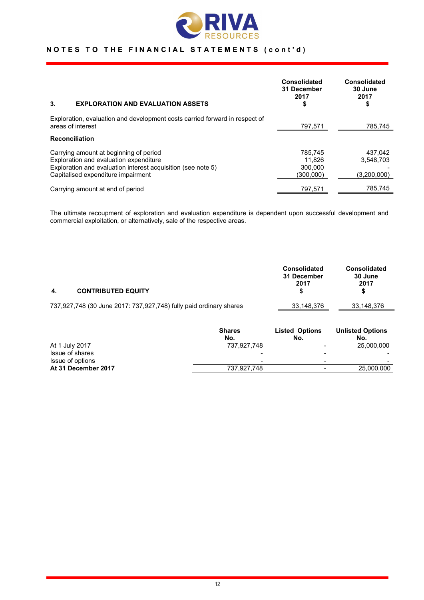

| 3.<br><b>EXPLORATION AND EVALUATION ASSETS</b>                                                                                                                                         | Consolidated<br>31 December<br>2017<br>\$ | <b>Consolidated</b><br>30 June<br>2017<br>\$ |
|----------------------------------------------------------------------------------------------------------------------------------------------------------------------------------------|-------------------------------------------|----------------------------------------------|
| Exploration, evaluation and development costs carried forward in respect of<br>areas of interest                                                                                       | 797,571                                   | 785,745                                      |
| <b>Reconciliation</b>                                                                                                                                                                  |                                           |                                              |
| Carrying amount at beginning of period<br>Exploration and evaluation expenditure<br>Exploration and evaluation interest acquisition (see note 5)<br>Capitalised expenditure impairment | 785.745<br>11.826<br>300,000<br>(300.000) | 437.042<br>3.548.703<br>(3,200,000)          |
| Carrying amount at end of period                                                                                                                                                       | 797.571                                   | 785.745                                      |

The ultimate recoupment of exploration and evaluation expenditure is dependent upon successful development and commercial exploitation, or alternatively, sale of the respective areas.

| 4. | <b>CONTRIBUTED EQUITY</b>                                          | <b>Consolidated</b><br>31 December<br>2017 | <b>Consolidated</b><br>30 June<br>2017 |
|----|--------------------------------------------------------------------|--------------------------------------------|----------------------------------------|
|    | 737,927,748 (30 June 2017: 737,927,748) fully paid ordinary shares | 33,148,376                                 | 33,148,376                             |

|                     | <b>Shares</b> | <b>Listed Options</b>    | <b>Unlisted Options</b> |
|---------------------|---------------|--------------------------|-------------------------|
|                     | No.           | No.                      | No.                     |
| At 1 July 2017      | 737.927.748   |                          | 25,000,000              |
| Issue of shares     | -             | $\,$                     |                         |
| Issue of options    | -             | $\overline{\phantom{0}}$ | $\,$                    |
| At 31 December 2017 | 737.927.748   |                          | 25,000,000              |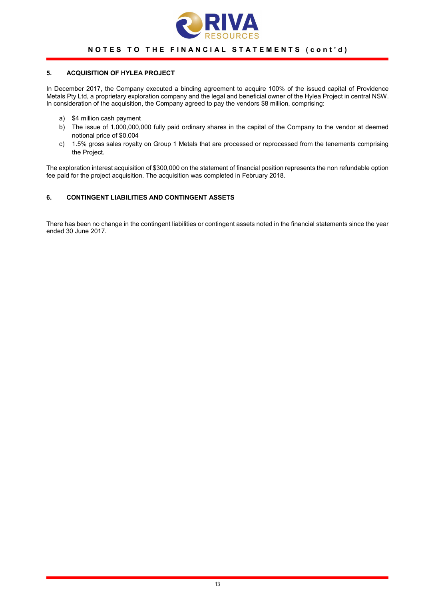

# 5. ACQUISITION OF HYLEA PROJECT

In December 2017, the Company executed a binding agreement to acquire 100% of the issued capital of Providence Metals Pty Ltd, a proprietary exploration company and the legal and beneficial owner of the Hylea Project in central NSW. In consideration of the acquisition, the Company agreed to pay the vendors \$8 million, comprising:

- a) \$4 million cash payment
- b) The issue of 1,000,000,000 fully paid ordinary shares in the capital of the Company to the vendor at deemed notional price of \$0.004
- c) 1.5% gross sales royalty on Group 1 Metals that are processed or reprocessed from the tenements comprising the Project.

The exploration interest acquisition of \$300,000 on the statement of financial position represents the non refundable option fee paid for the project acquisition. The acquisition was completed in February 2018.

## 6. CONTINGENT LIABILITIES AND CONTINGENT ASSETS

There has been no change in the contingent liabilities or contingent assets noted in the financial statements since the year ended 30 June 2017.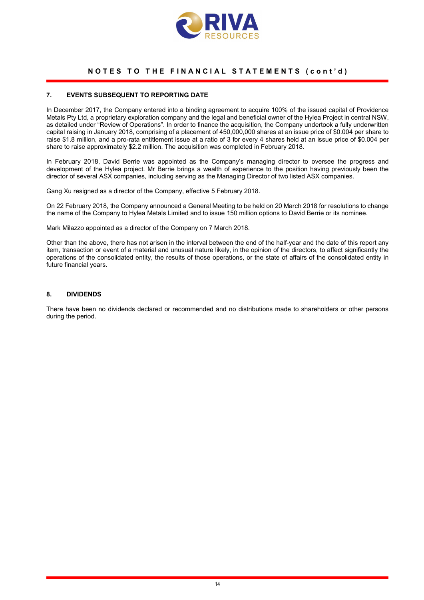

### 7. EVENTS SUBSEQUENT TO REPORTING DATE

In December 2017, the Company entered into a binding agreement to acquire 100% of the issued capital of Providence Metals Pty Ltd, a proprietary exploration company and the legal and beneficial owner of the Hylea Project in central NSW, as detailed under "Review of Operations". In order to finance the acquisition, the Company undertook a fully underwritten capital raising in January 2018, comprising of a placement of 450,000,000 shares at an issue price of \$0.004 per share to raise \$1.8 million, and a pro-rata entitlement issue at a ratio of 3 for every 4 shares held at an issue price of \$0.004 per share to raise approximately \$2.2 million. The acquisition was completed in February 2018.

In February 2018, David Berrie was appointed as the Company's managing director to oversee the progress and development of the Hylea project. Mr Berrie brings a wealth of experience to the position having previously been the director of several ASX companies, including serving as the Managing Director of two listed ASX companies.

Gang Xu resigned as a director of the Company, effective 5 February 2018.

On 22 February 2018, the Company announced a General Meeting to be held on 20 March 2018 for resolutions to change the name of the Company to Hylea Metals Limited and to issue 150 million options to David Berrie or its nominee.

Mark Milazzo appointed as a director of the Company on 7 March 2018.

Other than the above, there has not arisen in the interval between the end of the half-year and the date of this report any item, transaction or event of a material and unusual nature likely, in the opinion of the directors, to affect significantly the operations of the consolidated entity, the results of those operations, or the state of affairs of the consolidated entity in future financial years.

#### 8. DIVIDENDS

There have been no dividends declared or recommended and no distributions made to shareholders or other persons during the period.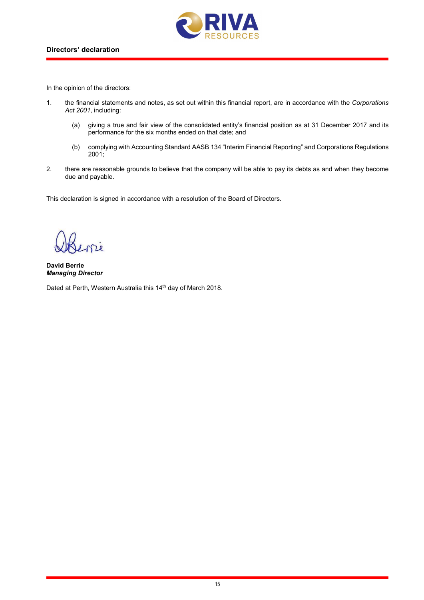

In the opinion of the directors:

- 1. the financial statements and notes, as set out within this financial report, are in accordance with the Corporations Act 2001, including:
	- (a) giving a true and fair view of the consolidated entity's financial position as at 31 December 2017 and its performance for the six months ended on that date; and
	- (b) complying with Accounting Standard AASB 134 "Interim Financial Reporting" and Corporations Regulations 2001;
- 2. there are reasonable grounds to believe that the company will be able to pay its debts as and when they become due and payable.

This declaration is signed in accordance with a resolution of the Board of Directors.

David Berrie Managing Director

Dated at Perth, Western Australia this 14<sup>th</sup> day of March 2018.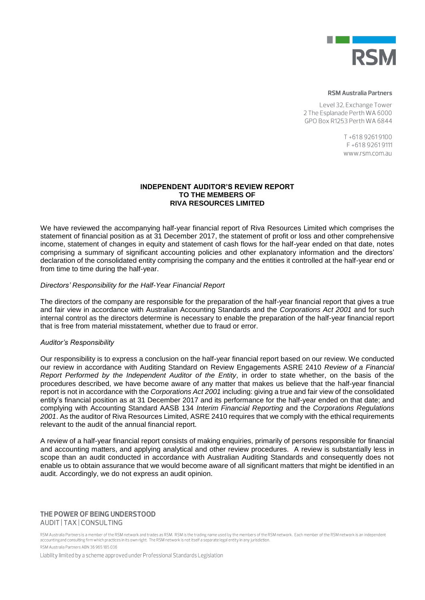

#### **RSM Australia Partners**

Level 32, Exchange Tower 2 The Esplanade Perth WA 6000 GPO Box R1253 Perth WA 6844

> T+61892619100 F+61892619111 www.rsm.com.au

## **INDEPENDENT AUDITOR'S REVIEW REPORT TO THE MEMBERS OF RIVA RESOURCES LIMITED**

We have reviewed the accompanying half-year financial report of Riva Resources Limited which comprises the statement of financial position as at 31 December 2017, the statement of profit or loss and other comprehensive income, statement of changes in equity and statement of cash flows for the half-year ended on that date, notes comprising a summary of significant accounting policies and other explanatory information and the directors' declaration of the consolidated entity comprising the company and the entities it controlled at the half-year end or from time to time during the half-year.

# *Directors' Responsibility for the Half-Year Financial Report*

The directors of the company are responsible for the preparation of the half-year financial report that gives a true and fair view in accordance with Australian Accounting Standards and the *Corporations Act 2001* and for such internal control as the directors determine is necessary to enable the preparation of the half-year financial report that is free from material misstatement, whether due to fraud or error.

## *Auditor's Responsibility*

Our responsibility is to express a conclusion on the half-year financial report based on our review. We conducted our review in accordance with Auditing Standard on Review Engagements ASRE 2410 *Review of a Financial Report Performed by the Independent Auditor of the Entity*, in order to state whether, on the basis of the procedures described, we have become aware of any matter that makes us believe that the half-year financial report is not in accordance with the *Corporations Act 2001* including: giving a true and fair view of the consolidated entity's financial position as at 31 December 2017 and its performance for the half-year ended on that date; and complying with Accounting Standard AASB 134 *Interim Financial Reporting* and the *Corporations Regulations 2001*. As the auditor of Riva Resources Limited, ASRE 2410 requires that we comply with the ethical requirements relevant to the audit of the annual financial report.

A review of a half-year financial report consists of making enquiries, primarily of persons responsible for financial and accounting matters, and applying analytical and other review procedures. A review is substantially less in scope than an audit conducted in accordance with Australian Auditing Standards and consequently does not enable us to obtain assurance that we would become aware of all significant matters that might be identified in an audit. Accordingly, we do not express an audit opinion.

## THE POWER OF BEING UNDERSTOOD AUDIT | TAX | CONSULTING

RSM Australia Partners is a member of the RSM network and trades as RSM. RSM is the trading name used by the members of the RSM network. Each member of the RSM network is an independent accounting and consulting firm which practices in its own right. The RSM network is not itself a separate legal entity in any jurisdiction. RSM Australia Partners ARN 36 965 185 036

Liability limited by a scheme approved under Professional Standards Legislation